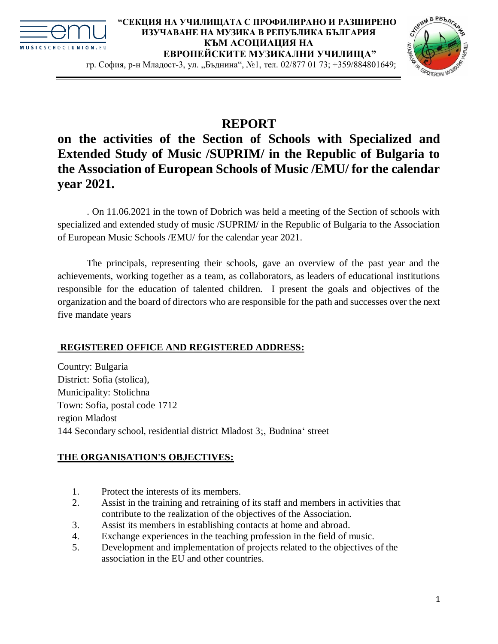



гр. София, р-н Младост-3, ул. "Бъднина", №1, тел. 02/877 01 73; +359/884801649;

# **REPORT**

## **on the activities of the Section of Schools with Specialized and Extended Study of Music /SUPRIM/ in the Republic of Bulgaria to the Association of European Schools of Music /EMU/ for the calendar year 2021.**

. On 11.06.2021 in the town of Dobrich was held a meeting of the Section of schools with specialized and extended study of music /SUPRIM/ in the Republic of Bulgaria to the Association of European Music Schools /EMU/ for the calendar year 2021.

The principals, representing their schools, gave an overview of the past year and the achievements, working together as a team, as collaborators, as leaders of educational institutions responsible for the education of talented children. I present the goals and objectives of the organization and the board of directors who are responsible for the path and successes over the next five mandate years

## **REGISTERED OFFICE AND REGISTERED ADDRESS:**

Country: Bulgaria District: Sofia (stolica), Municipality: Stolichna Town: Sofia, postal code 1712 region Mladost 144 Secondary school, residential district Mladost 3;, Budnina' street

## **THE ORGANISATION'S OBJECTIVES:**

- 1. Protect the interests of its members.
- 2. Assist in the training and retraining of its staff and members in activities that contribute to the realization of the objectives of the Association.
- 3. Assist its members in establishing contacts at home and abroad.
- 4. Exchange experiences in the teaching profession in the field of music.
- 5. Development and implementation of projects related to the objectives of the association in the EU and other countries.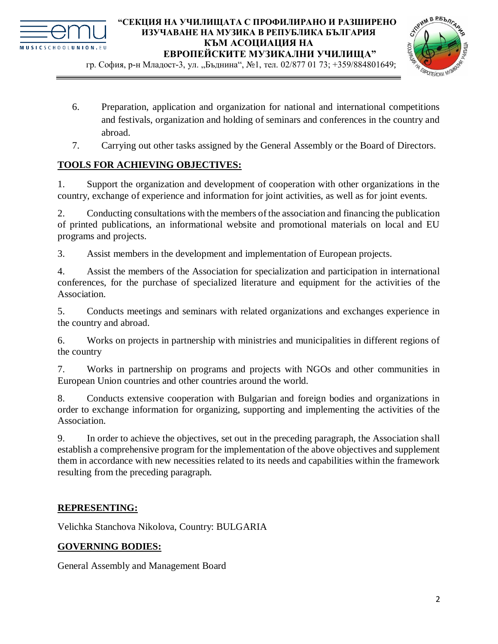

гр. София, р-н Младост-3, ул. "Бъднина", №1, тел. 02/877 01 73; +359/884801649;



- 6. Preparation, application and organization for national and international competitions and festivals, organization and holding of seminars and conferences in the country and abroad.
- 7. Carrying out other tasks assigned by the General Assembly or the Board of Directors.

## **TOOLS FOR ACHIEVING OBJECTIVES:**

1. Support the organization and development of cooperation with other organizations in the country, exchange of experience and information for joint activities, as well as for joint events.

2. Conducting consultations with the members of the association and financing the publication of printed publications, an informational website and promotional materials on local and EU programs and projects.

3. Assist members in the development and implementation of European projects.

4. Assist the members of the Association for specialization and participation in international conferences, for the purchase of specialized literature and equipment for the activities of the Association.

5. Conducts meetings and seminars with related organizations and exchanges experience in the country and abroad.

6. Works on projects in partnership with ministries and municipalities in different regions of the country

7. Works in partnership on programs and projects with NGOs and other communities in European Union countries and other countries around the world.

8. Conducts extensive cooperation with Bulgarian and foreign bodies and organizations in order to exchange information for organizing, supporting and implementing the activities of the Association.

9. In order to achieve the objectives, set out in the preceding paragraph, the Association shall establish a comprehensive program for the implementation of the above objectives and supplement them in accordance with new necessities related to its needs and capabilities within the framework resulting from the preceding paragraph.

## **REPRESENTING:**

Velichka Stanchova Nikolova, Country: BULGARIA

## **GOVERNING BODIES:**

General Assembly and Management Board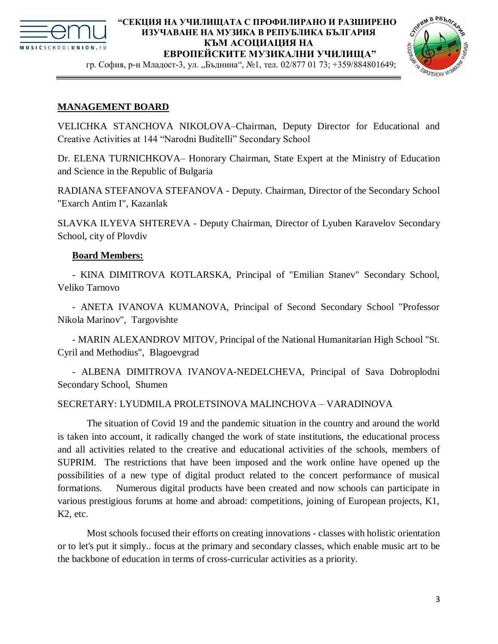

гр. София, р-н Младост-3, ул. "Бъднина", №1, тел. 02/877 01 73; +359/884801649;



#### **MANAGEMENT BOARD**

VELICHKA STANCHOVA NIKOLOVA–Chairman, Deputy Director for Educational and Creative Activities at 144 "Narodni Buditelli" Secondary School

Dr. ELENA TURNICHKOVA– Honorary Chairman, State Expert at the Ministry of Education and Science in the Republic of Bulgaria

RADIANA STEFANOVA STEFANOVA - Deputy. Chairman, Director of the Secondary School "Exarch Antim I", Kazanlak

SLAVKA ILYEVA SHTEREVA - Deputy Chairman, Director of Lyuben Karavelov Secondary School, city of Plovdiv

#### **Board Members:**

- KINA DIMITROVA KOTLARSKA, Principal of "Emilian Stanev" Secondary School, Veliko Tarnovo

- ANETA IVANOVA KUMANOVA, Principal of Second Secondary School "Professor Nikola Marinov", Targovishte

- MARIN ALEXANDROV MITOV, Principal of the National Humanitarian High School "St. Cyril and Methodius", Blagoevgrad

- ALBENA DIMITROVA IVANOVA-NEDELCHEVA, Principal of Sava Dobroplodni Secondary School, Shumen

#### SECRETARY: LYUDMILA PROLETSINOVA MALINCHOVA – VARADINOVA

The situation of Covid 19 and the pandemic situation in the country and around the world is taken into account, it radically changed the work of state institutions, the educational process and all activities related to the creative and educational activities of the schools, members of SUPRIM. The restrictions that have been imposed and the work online have opened up the possibilities of a new type of digital product related to the concert performance of musical formations. Numerous digital products have been created and now schools can participate in various prestigious forums at home and abroad: competitions, joining of European projects, K1, K2, etc.

Most schools focused their efforts on creating innovations - classes with holistic orientation or to let's put it simply.. focus at the primary and secondary classes, which enable music art to be the backbone of education in terms of cross-curricular activities as a priority.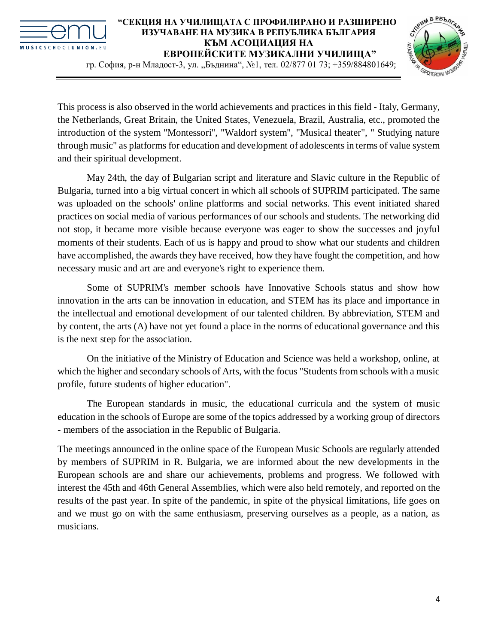



гр. София, р-н Младост-3, ул. "Бъднина", №1, тел. 02/877 01 73; +359/884801649;

This process is also observed in the world achievements and practices in this field - Italy, Germany, the Netherlands, Great Britain, the United States, Venezuela, Brazil, Australia, etc., promoted the introduction of the system "Montessori", "Waldorf system", "Musical theater", " Studying nature through music" as platforms for education and development of adolescents in terms of value system and their spiritual development.

May 24th, the day of Bulgarian script and literature and Slavic culture in the Republic of Bulgaria, turned into a big virtual concert in which all schools of SUPRIM participated. The same was uploaded on the schools' online platforms and social networks. This event initiated shared practices on social media of various performances of our schools and students. The networking did not stop, it became more visible because everyone was eager to show the successes and joyful moments of their students. Each of us is happy and proud to show what our students and children have accomplished, the awards they have received, how they have fought the competition, and how necessary music and art are and everyone's right to experience them.

Some of SUPRIM's member schools have Innovative Schools status and show how innovation in the arts can be innovation in education, and STEM has its place and importance in the intellectual and emotional development of our talented children. By abbreviation, STEM and by content, the arts (A) have not yet found a place in the norms of educational governance and this is the next step for the association.

On the initiative of the Ministry of Education and Science was held a workshop, online, at which the higher and secondary schools of Arts, with the focus "Students from schools with a music profile, future students of higher education".

The European standards in music, the educational curricula and the system of music education in the schools of Europe are some of the topics addressed by a working group of directors - members of the association in the Republic of Bulgaria.

The meetings announced in the online space of the European Music Schools are regularly attended by members of SUPRIM in R. Bulgaria, we are informed about the new developments in the European schools are and share our achievements, problems and progress. We followed with interest the 45th and 46th General Assemblies, which were also held remotely, and reported on the results of the past year. In spite of the pandemic, in spite of the physical limitations, life goes on and we must go on with the same enthusiasm, preserving ourselves as a people, as a nation, as musicians.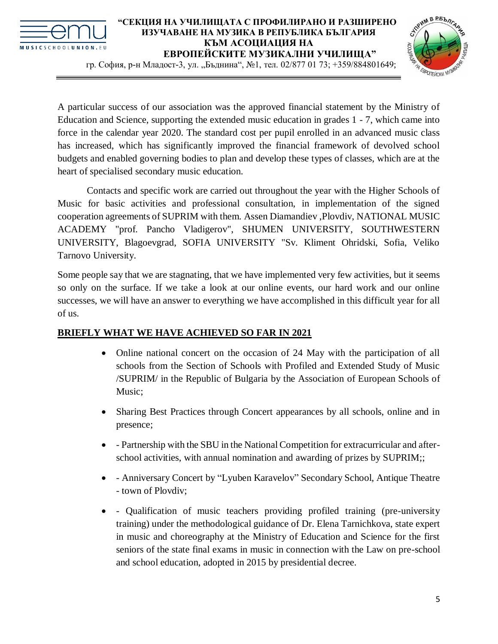



гр. София, р-н Младост-3, ул. "Бъднина", №1, тел. 02/877 01 73; +359/884801649;

A particular success of our association was the approved financial statement by the Ministry of Education and Science, supporting the extended music education in grades 1 - 7, which came into force in the calendar year 2020. The standard cost per pupil enrolled in an advanced music class has increased, which has significantly improved the financial framework of devolved school budgets and enabled governing bodies to plan and develop these types of classes, which are at the heart of specialised secondary music education.

Contacts and specific work are carried out throughout the year with the Higher Schools of Music for basic activities and professional consultation, in implementation of the signed cooperation agreements of SUPRIM with them. Assen Diamandiev ,Plovdiv, NATIONAL MUSIC ACADEMY "prof. Pancho Vladigerov", SHUMEN UNIVERSITY, SOUTHWESTERN UNIVERSITY, Blagoevgrad, SOFIA UNIVERSITY "Sv. Kliment Ohridski, Sofia, Veliko Tarnovo University.

Some people say that we are stagnating, that we have implemented very few activities, but it seems so only on the surface. If we take a look at our online events, our hard work and our online successes, we will have an answer to everything we have accomplished in this difficult year for all of us.

## **BRIEFLY WHAT WE HAVE ACHIEVED SO FAR IN 2021**

- Online national concert on the occasion of 24 May with the participation of all schools from the Section of Schools with Profiled and Extended Study of Music /SUPRIM/ in the Republic of Bulgaria by the Association of European Schools of Music;
- Sharing Best Practices through Concert appearances by all schools, online and in presence;
- Partnership with the SBU in the National Competition for extracurricular and afterschool activities, with annual nomination and awarding of prizes by SUPRIM;;
- Anniversary Concert by "Lyuben Karavelov" Secondary School, Antique Theatre - town of Plovdiv;
- Qualification of music teachers providing profiled training (pre-university training) under the methodological guidance of Dr. Elena Tarnichkova, state expert in music and choreography at the Ministry of Education and Science for the first seniors of the state final exams in music in connection with the Law on pre-school and school education, adopted in 2015 by presidential decree.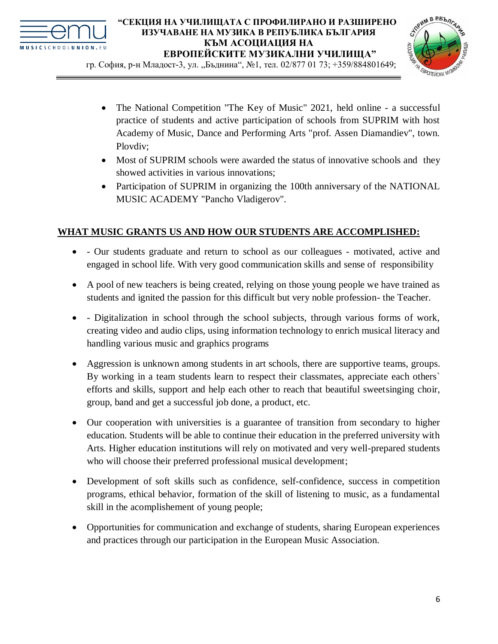



гр. София, р-н Младост-3, ул. "Бъднина", №1, тел. 02/877 01 73; +359/884801649;

- The National Competition "The Key of Music" 2021, held online a successful practice of students and active participation of schools from SUPRIM with host Academy of Music, Dance and Performing Arts "prof. Assen Diamandiev", town. Plovdiv;
- Most of SUPRIM schools were awarded the status of innovative schools and they showed activities in various innovations;
- Participation of SUPRIM in organizing the 100th anniversary of the NATIONAL MUSIC ACADEMY "Pancho Vladigerov".

## **WHAT MUSIC GRANTS US AND HOW OUR STUDENTS ARE ACCOMPLISHED:**

- Our students graduate and return to school as our colleagues motivated, active and engaged in school life. With very good communication skills and sense of responsibility
- A pool of new teachers is being created, relying on those young people we have trained as students and ignited the passion for this difficult but very noble profession- the Teacher.
- Digitalization in school through the school subjects, through various forms of work, creating video and audio clips, using information technology to enrich musical literacy and handling various music and graphics programs
- Aggression is unknown among students in art schools, there are supportive teams, groups. By working in a team students learn to respect their classmates, appreciate each others` efforts and skills, support and help each other to reach that beautiful sweetsinging choir, group, band and get a successful job done, a product, etc.
- Our cooperation with universities is a guarantee of transition from secondary to higher education. Students will be able to continue their education in the preferred university with Arts. Higher education institutions will rely on motivated and very well-prepared students who will choose their preferred professional musical development;
- Development of soft skills such as confidence, self-confidence, success in competition programs, ethical behavior, formation of the skill of listening to music, as a fundamental skill in the acomplishement of young people;
- Opportunities for communication and exchange of students, sharing European experiences and practices through our participation in the European Music Association.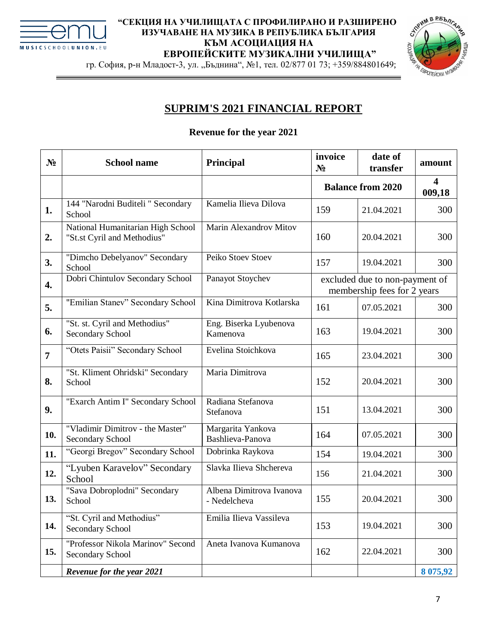



гр. София, р-н Младост-3, ул. "Бъднина", №1, тел. 02/877 01 73; +359/884801649;

## **SUPRIM'S 2021 FINANCIAL REPORT**

## **Revenue for the year 2021**

| N <sub>2</sub> | <b>School name</b>                                               | Principal                                | invoice<br>$N_2$                                              | date of<br>transfer      | amount                            |
|----------------|------------------------------------------------------------------|------------------------------------------|---------------------------------------------------------------|--------------------------|-----------------------------------|
|                |                                                                  |                                          |                                                               | <b>Balance from 2020</b> | $\overline{\mathbf{4}}$<br>009,18 |
| 1.             | 144 "Narodni Buditeli " Secondary<br>School                      | Kamelia Ilieva Dilova                    | 159                                                           | 21.04.2021               | 300                               |
| 2.             | National Humanitarian High School<br>"St.st Cyril and Methodius" | Marin Alexandrov Mitov                   | 160                                                           | 20.04.2021               | 300                               |
| 3.             | "Dimcho Debelyanov" Secondary<br>School                          | Peiko Stoev Stoev                        | 157                                                           | 19.04.2021               | 300                               |
| 4.             | Dobri Chintulov Secondary School                                 | Panayot Stoychev                         | excluded due to non-payment of<br>membership fees for 2 years |                          |                                   |
| 5.             | "Emilian Stanev" Secondary School                                | Kina Dimitrova Kotlarska                 | 161                                                           | 07.05.2021               | 300                               |
| 6.             | "St. st. Cyril and Methodius"<br>Secondary School                | Eng. Biserka Lyubenova<br>Kamenova       | 163                                                           | 19.04.2021               | 300                               |
| 7              | "Otets Paisii" Secondary School                                  | Evelina Stoichkova                       | 165                                                           | 23.04.2021               | 300                               |
| 8.             | "St. Kliment Ohridski" Secondary<br>School                       | Maria Dimitrova                          | 152                                                           | 20.04.2021               | 300                               |
| 9.             | "Exarch Antim I" Secondary School                                | Radiana Stefanova<br>Stefanova           | 151                                                           | 13.04.2021               | 300                               |
| 10.            | "Vladimir Dimitrov - the Master"<br>Secondary School             | Margarita Yankova<br>Bashlieva-Panova    | 164                                                           | 07.05.2021               | 300                               |
| 11.            | "Georgi Bregov" Secondary School                                 | Dobrinka Raykova                         | 154                                                           | 19.04.2021               | 300                               |
| 12.            | "Lyuben Karavelov" Secondary<br>School                           | Slavka Ilieva Shchereva                  | 156                                                           | 21.04.2021               | 300                               |
| 13.            | "Sava Dobroplodni" Secondary<br>School                           | Albena Dimitrova Ivanova<br>- Nedelcheva | 155                                                           | 20.04.2021               | 300                               |
| 14.            | "St. Cyril and Methodius"<br>Secondary School                    | Emilia Ilieva Vassileva                  | 153                                                           | 19.04.2021               | 300                               |
| 15.            | "Professor Nikola Marinov" Second<br>Secondary School            | Aneta Ivanova Kumanova                   | 162                                                           | 22.04.2021               | 300                               |
|                | Revenue for the year 2021                                        |                                          |                                                               |                          | 8 075,92                          |